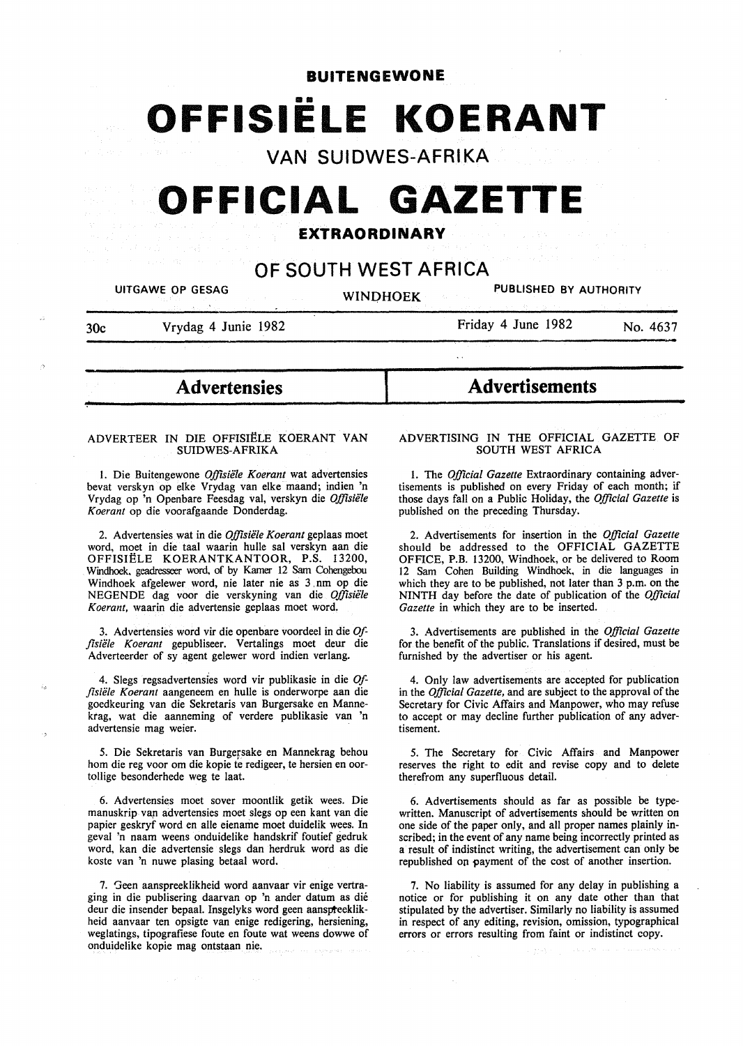# **BUITENGEWONE**  •• **OFFISIELE KOERANT**

**VAN SUIDWES-AFRIKA** 

# **OFFICIAL GAZETTE**

# **EXTRAORDINARY**

# **OF SOUTH WEST AFRICA**

I

UITGAWE OP GESAG WINDHOEK PUBLISHED BY AUTHORITY

30c Vrydag 4 Junie 1982

~

Friday 4 June 1982 No. 4637

- **Advertensies** 

# ADVERTEER IN DIE OFFISIELE KOERANT VAN SUIDWES-AFRIKA

l. Die Buitengewone *Offisiele Koerant* wat advertensies bevat verskyn op elke Vrydag van elke maand; indien 'n Vrydag op 'n Openbare Feesdag val, verskyn die *Offisiële Koerant* op die voorafgaande Donderdag.

2. Advertensies wat in die *Offisiele Koerant* geplaas moet word, moet in die taal waarin hulle sal verskyn aan die OFFISIELE KOERANTKANTOOR, P.S. 13200, Windhoek. geadresseer word, of by Kamer 12 Sam Cohengebou Windhoek afgelewer word, nie later nie as 3 nm op die NEGENDE dag voor die verskyning van die *Offisiele Koerant,* waarin die advertensie geplaas moet word.

3. Advertensies word vir die openbare voordeel in die *Offisiele Koerant* gepubliseer. Vertalings moet deur die Adverteerder of sy agent gelewer word indien verlang.

4. Slegs regsadvertensies word vir publikasie in die *Offisiele Koerant* aangeneem en hulle is onderworpe aan die goedkeuring van die Sekretaris van Burgersake en Mannektag, wat die aanneming of verdere publikasie van 'n advertensie mag weier.

5. Die Sekretaris van Burgersake en Mannekrag behou hom die reg voor om die kopie te redigeer, te hersien en oortollige besonderhede weg te laat.

6. Advertensies moet sover moontlik getik wees. Die manuskrip vap advertensies moet slegs op een kant van die papier geskryf word en alle eiename moet duidelik wees. In geval 'n naam weens onduidelike handskrif foutief gedruk word, kan die advertensie slegs dan herdruk word as die koste van 'n nuwe plasing betaal word.

7. Geen aanspreeklikheid word aanvaar vir enige vertraging in die publisering daarvan op 'n ander datum as die deur die insender bepaal. Insgelyks word geen aanspteeklikheid aanvaar ten opsigte van enige redigering, hersiening, weglatings, tipografiese foute en foute wat weens dowwe of onduidelike kopie mag ontstaan nie.

# **Advertisements**

# ADVERTISING IN THE OFFICIAL GAZETTE OF SOUTH WEST AFRICA

l. The *Official Gazette* Extraordinary containing advertisements is published on every Friday of each month; if those days fall on a Public Holiday, the *Official Gazette* is published on the preceding Thursday.

2. Advertisements for insertion in the *Official Gazette*  should be addressed to the OFFICIAL GAZETTE OFFICE, P.B. 13200, Windhoek, or be delivered to Room 12 Sam Cohen Building Windhoek, in die languages in which they are to be published, not later than 3 p.m. on the NINTH day before the date of publication of the *Official Gazette* in which they are to be inserted.

3. Advertisements are published in the *Official Gazette*  for the benefit of the public. Translations if desired, must be furnished by the advertiser or his agent.

4. Only law advertisements are accepted for publication in the *Official Gazette,* and are subject to the approval of the Secretary for Civic Affairs and Manpower, who may refuse to accept or may decline further publication of any advertisement.

5. The Secretary for Civic Affairs and Manpower reserves the right to edit and revise copy and to delete therefrom any superfluous detail.

6. Advertisements should as far as possible be typewritten. Manuscript of advertisements should be written on one side of the paper only, and all proper names plainly inscribed; in the event of any name being incorrectly printed as a result of indistinct writing, the advertisement can only be republished on payment of the cost of another insertion.

7. No liability is assumed for any delay in publishing a notice or for publishing it on any date other than that stipulated by the advertiser. Similarly no liability is assumed in respect of any editing, revision, omission, typographical errors or errors resulting from faint or indistinct copy.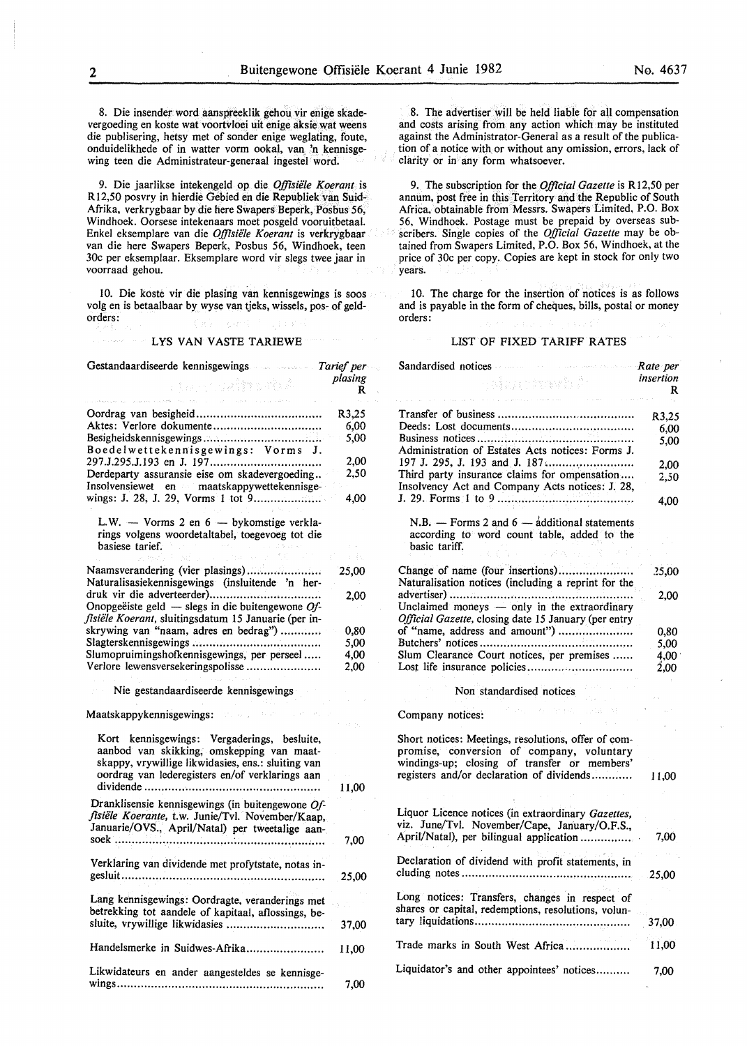8. Die insender word aanspreeklik gehou vir enige skadevergoeding en koste wat voortvloei uit enige aksie wat weens die publisering, hetsy met of sonder enige weglating, foute, onduidelikhede of in watter vorm ookal, van 'n kennisgewing teen die Administrateur-generaal ingestel word.

9. Die jaarlikse intekengeld op die *Ojftsiifle Koerant* is Rl2,50 posvry in hierdie Gebied en die Republiek van Suid-Afrika, verkrygbaar by die here Swapers Beperk, Posbus 56, Windhoek. Oorsese intekenaars moet posgeld vooruitbetaal. Enkel eksemplare van die *Offisiifle Koerant* is verkrygbaar van die here Swapers Beperk, Posbus 56, Windhoek, teen 30c per eksemplaar. Eksemplare word vir slegs twee jaar in voorraad gehou.

10. Die koste vir die plasing van kennisgewings is soos volg en is betaalbaar by wyse van tjeks, wissels, pos- of geldorders:

#### LYS VAN VASTE TARIEWE

| Gestandaardiseerde kennisgewings<br>$\label{eq:1} \left[\hat{\gamma}_1,\hat{\gamma}_2,\hat{\gamma}_3,\hat{\gamma}_4\right]\hat{\zeta}_1\hat{\zeta}_2\hat{\zeta}_3\hat{\zeta}_4\hat{\zeta}_5\hat{\zeta}_6\hat{\zeta}_7\hat{\zeta}_8\hat{\zeta}_7\hat{\zeta}_8\hat{\zeta}_7\hat{\zeta}_8\hat{\zeta}_7\hat{\zeta}_8\hat{\zeta}_7\hat{\zeta}_8\hat{\zeta}_7\hat{\zeta}_8\hat{\zeta}_7\hat{\zeta}_7\hat{\zeta}_7\hat{\zeta}_7\hat{\zeta}_7\hat{\zeta}_7\hat{\zeta}_7\hat{\zeta}_7\hat{\$ | Tarief per   |
|-------------------------------------------------------------------------------------------------------------------------------------------------------------------------------------------------------------------------------------------------------------------------------------------------------------------------------------------------------------------------------------------------------------------------------------------------------------------------------------|--------------|
| ร (อ. ราววัลถีตระทั่ง คั<br>and the second control of the                                                                                                                                                                                                                                                                                                                                                                                                                           | plasing<br>R |
|                                                                                                                                                                                                                                                                                                                                                                                                                                                                                     | R3,25        |
| Aktes: Verlore dokumente                                                                                                                                                                                                                                                                                                                                                                                                                                                            | 6,00         |
|                                                                                                                                                                                                                                                                                                                                                                                                                                                                                     |              |
| Boedelwettekennisgewings: Vorms J.                                                                                                                                                                                                                                                                                                                                                                                                                                                  | 5,00         |
|                                                                                                                                                                                                                                                                                                                                                                                                                                                                                     | 2,00         |
| Derdeparty assuransie eise om skadevergoeding<br>Insolvensiewet en maatskappywettekennisge-                                                                                                                                                                                                                                                                                                                                                                                         | 2,50         |
| wings: J. 28, J. 29, Vorms 1 tot 9                                                                                                                                                                                                                                                                                                                                                                                                                                                  | 4,00         |
| L.W. - Vorms 2 en $6$ - bykomstige verkla-<br>rings volgens woordetaltabel, toegevoeg tot die<br>basiese tarief.                                                                                                                                                                                                                                                                                                                                                                    |              |
|                                                                                                                                                                                                                                                                                                                                                                                                                                                                                     |              |
| Naamsverandering (vier plasings)<br>Naturalisasiekennisgewings (insluitende 'n her-                                                                                                                                                                                                                                                                                                                                                                                                 | 25,00        |
|                                                                                                                                                                                                                                                                                                                                                                                                                                                                                     | 2,00         |
| Onopgeëiste geld - slegs in die buitengewone $Of$ -<br>fisiële Koerant, sluitingsdatum 15 Januarie (per in-                                                                                                                                                                                                                                                                                                                                                                         |              |
| skrywing van "naam, adres en bedrag")                                                                                                                                                                                                                                                                                                                                                                                                                                               | 0,80         |
|                                                                                                                                                                                                                                                                                                                                                                                                                                                                                     | 5,00         |
| Slumopruimingshofkennisgewings, per perseel                                                                                                                                                                                                                                                                                                                                                                                                                                         | 4,00         |
| Verlore lewensversekeringspolisse                                                                                                                                                                                                                                                                                                                                                                                                                                                   | 2.00         |
| Nie gestandaardiseerde kennisgewings                                                                                                                                                                                                                                                                                                                                                                                                                                                |              |
| Maatskappykennisgewings:                                                                                                                                                                                                                                                                                                                                                                                                                                                            |              |
| Kort kennisgewings: Vergaderings, besluite,<br>aanbod van skikking, omskepping van maat-<br>skappy, vrywillige likwidasies, ens.: sluiting van<br>oordrag van lederegisters en/of verklarings aan                                                                                                                                                                                                                                                                                   | 11,00        |
| Dranklisensie kennisgewings (in buitengewone Of-                                                                                                                                                                                                                                                                                                                                                                                                                                    |              |
| fisiële Koerante, t.w. Junie/Tvl. November/Kaap,<br>Januarie/OVS., April/Natal) per tweetalige aan-                                                                                                                                                                                                                                                                                                                                                                                 | 7,00         |
| Verklaring van dividende met profytstate, notas in-                                                                                                                                                                                                                                                                                                                                                                                                                                 | 25,00        |
| Lang kennisgewings: Oordragte, veranderings met<br>betrekking tot aandele of kapitaal, aflossings, be-<br>sluite, vrywillige likwidasies                                                                                                                                                                                                                                                                                                                                            | 37,00        |
| Handelsmerke in Suidwes-Afrika                                                                                                                                                                                                                                                                                                                                                                                                                                                      | 11,00        |
| Likwidateurs en ander aangesteldes se kennisge-                                                                                                                                                                                                                                                                                                                                                                                                                                     | 7.00         |

8. The advertiser will be held liable for all compensation and costs arising from any action which may be instituted against the Administrator-General as a result of the publication of a notice with or without any omission, errors, lack of clarity or in any form whatsoever.

9. The subscription for the *Official Gazette* is RI2,50 per annum, post free in this Territory and the Republic of South Africa, obtainable from Messrs. Swapers Limited, P.O. Box 56, Windhoek. Postage must be prepaid by overseas subscribers. Single copies of the *Official Gazette* may be obtained from Swapers Limited, P.O. Box 56, Windhoek, at the price of 30c per copy. Copies are kept in stock for only two years.

IO. The charge for the insertion of notices is as follows and is payable in the form of cheques, bills, postal or money orders:

#### LIST OF FIXED TARIFF RATES

| Sandardised notices                                                                                                                                                                           | Rate per       |
|-----------------------------------------------------------------------------------------------------------------------------------------------------------------------------------------------|----------------|
| alaa chaab A                                                                                                                                                                                  | insertion<br>R |
|                                                                                                                                                                                               | R3,25          |
|                                                                                                                                                                                               | 6,00           |
|                                                                                                                                                                                               | 5,00           |
| Administration of Estates Acts notices: Forms J.                                                                                                                                              |                |
| Third party insurance claims for ompensation                                                                                                                                                  | 2,00           |
| Insolvency Act and Company Acts notices: J. 28,                                                                                                                                               | 2,50           |
|                                                                                                                                                                                               | 4.00           |
| N.B. - Forms 2 and $6 - \frac{1}{4}$ dditional statements                                                                                                                                     |                |
| according to word count table, added to the                                                                                                                                                   |                |
| basic tariff.                                                                                                                                                                                 |                |
| Change of name (four insertions)                                                                                                                                                              |                |
| Naturalisation notices (including a reprint for the                                                                                                                                           | 25,00          |
|                                                                                                                                                                                               | 2.00           |
| Unclaimed moneys - only in the extraordinary                                                                                                                                                  |                |
| Official Gazette, closing date 15 January (per entry                                                                                                                                          |                |
| of "name, address and amount")                                                                                                                                                                | 0,80           |
|                                                                                                                                                                                               | 5,00           |
| Slum Clearance Court notices, per premises                                                                                                                                                    | 4,00           |
|                                                                                                                                                                                               | 2,00           |
| Non standardised notices                                                                                                                                                                      |                |
| 6 Staville Lida<br>Company notices:                                                                                                                                                           |                |
|                                                                                                                                                                                               |                |
| Short notices: Meetings, resolutions, offer of com-<br>promise, conversion of company, voluntary<br>windings-up; closing of transfer or members'<br>registers and/or declaration of dividends | 11,00          |
|                                                                                                                                                                                               |                |
| Liquor Licence notices (in extraordinary Gazettes,                                                                                                                                            |                |
| viz. June/Tvl. November/Cape, January/O.F.S.,                                                                                                                                                 |                |
| April/Natal), per bilingual application                                                                                                                                                       | 7,00           |
| Declaration of dividend with profit statements, in                                                                                                                                            | 25,00          |
| Long notices: Transfers, changes in respect of                                                                                                                                                |                |
| shares or capital, redemptions, resolutions, volun-                                                                                                                                           |                |
|                                                                                                                                                                                               | 37,00          |
| Trade marks in South West Africa                                                                                                                                                              | 11,00          |
| Liquidator's and other appointees' notices                                                                                                                                                    | 7,00           |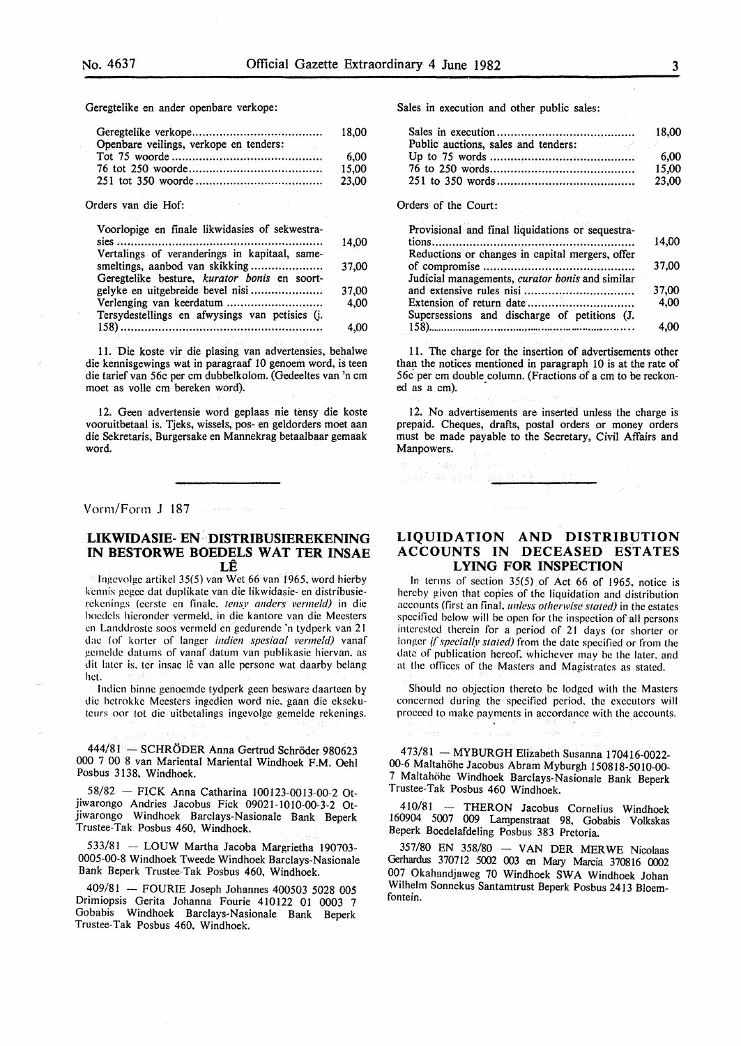Geregtelike en ander openbare verkope:

|                                        | 18.00 |
|----------------------------------------|-------|
| Openbare veilings, verkope en tenders: |       |
|                                        | 6.00  |
|                                        | 15.00 |
|                                        | 23,00 |

Orders van die Hof:

| Voorlopige en finale likwidasies of sekwestra- |       |
|------------------------------------------------|-------|
|                                                | 14.00 |
| Vertalings of veranderings in kapitaal, same-  |       |
|                                                | 37.00 |
| Geregtelike besture, kurator bonis en soort-   |       |
|                                                | 37,00 |
|                                                | 4.00  |
| Tersydestellings en afwysings van petisies (j. |       |
|                                                | 4,00  |
|                                                |       |

II. Die koste vir die plasing van advertensies, behalwe die kennisgewings wat in paragraaf 10 genoem word, is teen die tarief van 56c per em dubbelkolom. (Gedeeltes van 'n em moet as volle em bereken word).

12. Geen advertensie word geplaas nie tensy die koste vooruitbetaal is. Tjeks, wissels, pos- en geldorders moet aan die Sekretaris, Burgersake en Mannekrag betaalbaar gemaak word.

Vorm/Form J 187

# **LIKWIDASIE- EN· ·DISTRIBUSIEREKENING IN BESTORWE BOEDELS WAT TER INSAE**  LE

lngcvolgc artikcl 35(5) van Wet 66 van 1965. word hierby kcnnis gcgcc dat duplikate van die likwidasie- en distribusierekenings (cerste en finale, tensy anders vermeld) in die bocdcls hicrondcr vermeld. in die kantore van die Meesters en Landdroste soos vermcld en gcdurendc 'n tydpcrk van 21 dac (of kortcr of Ianger *indien spesiaal vermeld)* vanaf gcmcldc datums of vanaf datum van publikasie hiervan. as dit later is, ter insae lê van alle persone wat daarby belang hct.

lndicn binne genoemde tydperk geen bcswarc daarteen by die hctrokke Meesters ingedicn word nie. gaan die eksekuteurs oor tot die uitbetalings ingevolge gemelde rekenings.

444/81 - SCHRÖDER Anna Gertrud Schröder 980623 000 7 00 8 van Mariental Mariental Windhoek P.M. Oehl Posbus 3138, Windhoek.

58/82 - PICK Anna Catharina 100123-0013-00-2 Otjiwarongo Andries Jacobus Pick 09021-1010-00-3-2 Otjiwarongo Windhoek Barclays-Nasiona1e Bank Beperk Trustee-Tak Posbus 460, Windhoek.

533/81 - LOUW Martha Jacoba Margrietha 190703-0005-00-8 Windhoek Tweede Windhoek Barclays-Nasionale Bank Beperk Trustee-Tak Posbus 460, Windhoek.

409/81 - FOURIE Joseph Johannes 400503 5028 005 Drimiopsis Gerita Johanna Fourie 410122 01 0003 7 Gobabis Windhoek Barclays-Nasionale Bank Beperk Trustee-Tak Posbus 460, Windhoek.

Sales in execution and other public sales:

|                                     | 18.00 |
|-------------------------------------|-------|
| Public auctions, sales and tenders: |       |
|                                     | 6.00  |
|                                     | 15.00 |
|                                     | 23.00 |

Orders of the Court:

| Provisional and final liquidations or sequestra-                     |       |
|----------------------------------------------------------------------|-------|
|                                                                      | 14,00 |
| Reductions or changes in capital mergers, offer                      |       |
|                                                                      | 37,00 |
| Judicial managements, curator bonis and similar                      |       |
|                                                                      | 37,00 |
| Extension of return date $\dots \dots \dots \dots \dots \dots \dots$ | 4.00  |
| Supersessions and discharge of petitions (J.                         |       |
|                                                                      | 4.00  |

11. The charge for the insertion of advertisements other than the notices mentioned in paragraph 10 is at the rate of 56c per em double column. (Fractions of a em to be reckoned as a cm).

12. No advertisements are inserted unless the charge is prepaid. Cheques, drafts, postal orders or money orders must be made payable to the Secretary, Civil Affairs and Manpowers.

# **LIQUIDATION AND DISTRIBUTION ACCOUNTS IN DECEASED ESTATES LYING FOR INSPECTION**

In terms of section  $35(5)$  of Act 66 of 1965, notice is hereby given that copies of the liquidation and distribution accounts (first an final, *unless otherwise staled)* in the estates specified below will be open for the inspection of all persons interested therein for a period of 21 days (or shorter or longer if specially stated) from the date specified or from the date of publication hereof. whichever may be the later. and at the offices of the Masters and Magistrates as stated.

Should no objection thereto be lodged with the Masters concerned during the specified period. the executors will proceed to make payments in accordance with the accounts.

473/81 - MYBURGH Elizabeth Susanna 170416-0022- 00-6 Maltahohe Jacobus Abram Myburgh 150818-5010-00- 7 Maltahöhe Windhoek Barclays-Nasionale Bank Beperk Trustee-Tak Posbus 460 Windhoek.

410/81 - THERON Jacobus Cornelius Windhoek 160904 5007 009 Lampenstraat 98, Gobabis Volkskas Beperk Boedelafdeling Posbus 383 Pretoria.

357/80 EN 358/80 - VAN DER MERWE Nicolaas Gerhardus 370712 5002 003 en Mary Marcia 370816 0002 007 Okahandjaweg 70 Windhoek SWA Windhoek Johan Wilhelm Sonnekus Santamtrust Beperk Posbus 2413 Bloemfontein.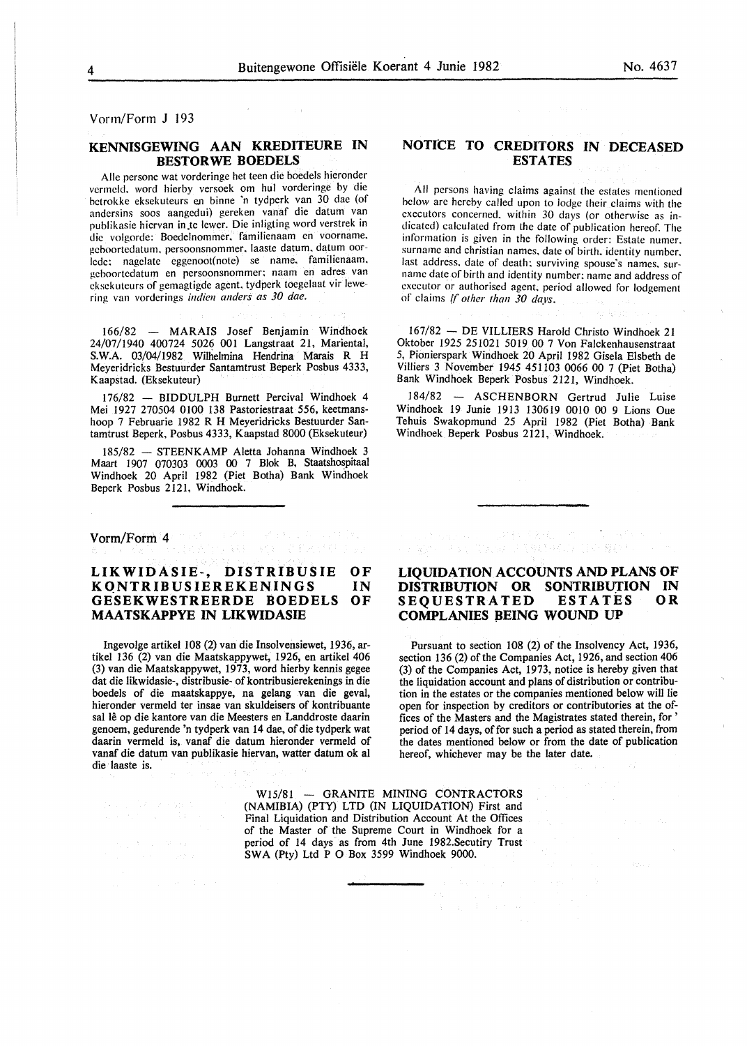Vorm/Form J 193

# **KENNISGEWING AAN KREDITEURE IN BESTORWE BOEDELS**

 $\Delta \sim 10^{11}$ 

 $\sim$   $\sim$ 

Aile persone wat vorderinge het teen die boedels hieronder vermeld. word hierby versoek om hul vorderinge by die hetrokke eksekuteurs en binne 'n tydperk van 30 dae (of andersins soos aangedui) gereken vanaf die datum van puhlikasie hiervan in.te !ewer. Die inligting word verstrek in die volgorde: Boedelnommer. familienaam en voorname. gehoortedatum. persoonsnommer. laaste datum. datum oorlede: nagelate eggenoot(note) se name. familienaam. geboortedatum en persoonsnommer; naam en adres van cksekuteurs of gemagtigde agent. tydperk toegelaat vir lewering van vorderings *indien anders as 30 dae.* 

166/82 - MARAIS Josef Benjamin Windhoek 24/07/1940 400724 5026 001 Langstraat 21, Mariental, S.W.A. 03/04/1982 Willielmina Hendrina Marais R H Meyeridricks Bestuurder Santamtrust Beperk Posbus 4333, Kaapstad. (Eksekuteur)

176/82 - BIDDULPH Burnett Percival Windhoek 4 Mei 1927 270504 0100 138 Pastoriestraat 556, keetmanshoop 7 Februarie 1982 R H Meyeridricks Bestuurder Santamtrust Beperk, Posbus 4333, Kaapstad 8000 (Eksekuteur)

185/82 - STEENKAMP Aletta Johanna Windhoek 3 Maart 1907 070303 0003 00 7 Blok B, Staatshospitaal Windhoek 20 April 1982 (Piet Botha) Bank Windhoek Beperk Posbus 2121, Windhoek.

Vorm/Form<sup>3</sup>4) masses and the second contribution

的复数形式 基因数

#### **LIKWIDASIE-, DISTRIBUSIE KQNTRIBUSIEREKENINGS GESEKWESTREERDE BOEDELS MAATSKAPPYE IN LIKWIDASIE OF**  IN **OF**

Ingevolge artikel 108 (2) van die Insolvensiewet, 1936, artikel 136 (2) van die Maatskappywet, 1926, en artikel 406 (3) van die Maatskappywet, 1973, word hierby kennis gegee dat die likwidasie-, distribusie- of kontribusierekenings in die boedels of die maatskappye, na gelang van die geval, hieronder vermeld ter insae van skuldeisers of kontribuante sal lê op die kantore van die Meesters en Landdroste daarin genoem, gedurende 'n tydperk van 14 dae, of die tydperk wat daarin vermeld is, vanaf die datum hieronder vermeld of vanaf die datum van publikasie hiervan, watter datum ok al die laaste is.

# **NOTICE TO CREDITORS IN DECEASED ESTATES**

All persons having claims against the estates mentioned below are hereby called upon to lodge their claims with the executors concerned, within 30 days (or otherwise as indicated) calculated from the date of publication hereof. The information is given in the following order: Estate numer. surname and christian names. date of birth. identity number. last address, date of death: surviving spouse's names. surname date of birth and identity number: name and address of executor or authorised agent. period allowed for lodgement of claims if *other than 30 days.* 

167/82 -DE VILLIERS Harold Christo Windhoek 21 Oktober 1925 251021 5019 00 7 Von Falckenhausenstraat 5, Pionierspark Windhoek 20 April 1982 Gisela Elsbeth de Villiers 3 November 1945 45ll03 0066 00 7 (Piet Botha) Bank Windhoek Beperk Posbus 2121, Windhoek.

184/82 - ASCHENBORN Gertrud Julie Luise Windhoek 19 Junie 1913 130619 0010 00 9 Lions Oue Tehuis Swakopmund 25 April 1982 (Piet Botha) Bank Windhoek Beperk Posbus 2121, Windhoek.

# **LIQUIDATION ACCOUNTS AND PLANS OF DISTRIBUTION OR SONTRIBUTION IN SEQUESTRATED COMPLANIES BEING WOUND UP**

 $\mathcal{F}_1$  , and  $\mathcal{F}_2$  , and

- 1977年の第1993年に、会社教育文化、中国の1997年の発行<br>- 2002年の大きな「高級の2003年後8月10日、18年<mark>期</mark>参与。

Pursuant to section 108 (2) of the Insolvency Act, 1936, section 136 (2) of the Companies Act, 1926, and section 406 (3) of the Companies Act, 1973, notice is hereby given that the liquidation account and plans of distribution or contribution in the estates or the companies mentioned below will lie open for inspection by creditors or contributories at the offices of the Masters and the Magistrates stated therein, for ' period of 14 days, of for such a period as stated therein, from the dates mentioned below or from the date of publication hereof, whichever may be the later date.

W15/81 - GRANITE MINING CONTRACTORS (NAMIBIA) (PTY) LTD (IN LIQUIDATION) First and Final Liquidation and Distribution Account At the Offices of the Master of the Supreme Court in Windhoek for a period of 14 days as from 4th June 1982.Secutiry Trust SWA (Pty) Ltd P 0 Box 3599 Windhoek 9000.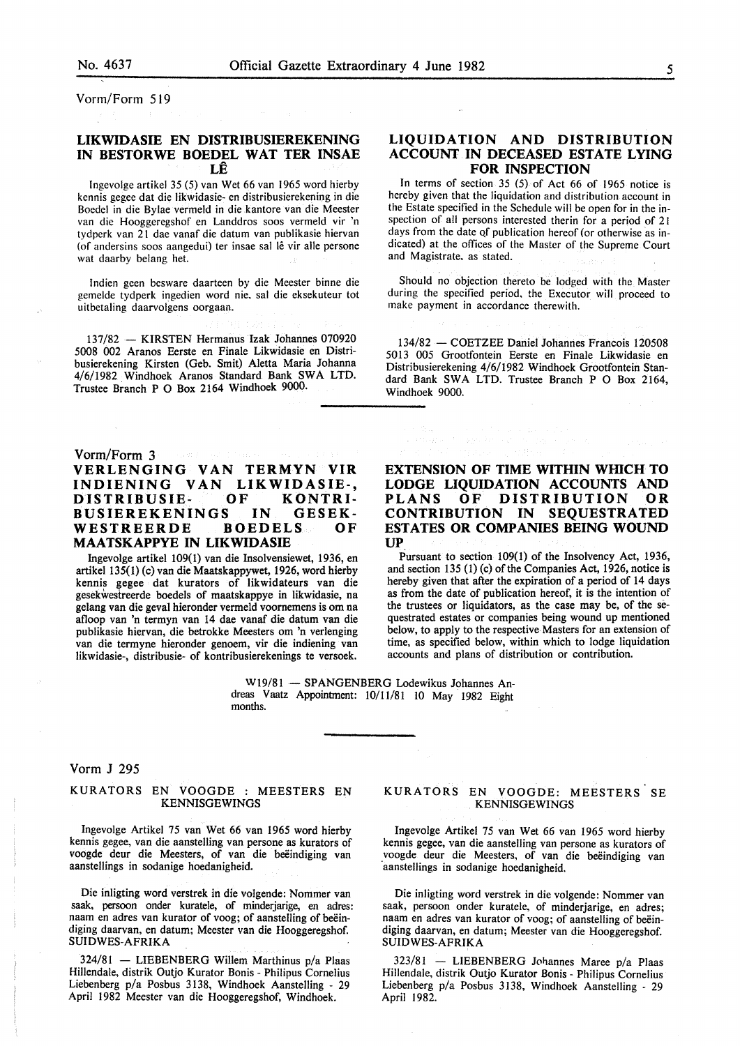Vorm/Form 519

## **LIKWIDASIE EN DISTRIBUSIEREKENING IN BESTORWE BOEDEL WAT TER INSAE LE**

lngevolgc artikel 35 (5) van Wet 66 van 1965 word hierby kcnnis gegee dat die likwidasic- en distribusierckening in die Boedcl in die Bylae vermcld in die kantore van die Meester van die Hooggcregshof en Landdros soos vermeld vir 'n tydpcrk van 21 dae vanaf die datum van publikasie hicrvan (of andersins soos aangedui) ter insae sal lê vir alle persone wat daarby belang het.

lndien geen besware daartcen by die Meester binne die gemelde tydperk ingedicn word nic, sal die eksekutcur tot uitbetaling daarvolgens oorgaan.

137/82 - KIRSTEN Hermanus Izak Johannes 070920 5008 002 Aranos Eerste en Finale Likwidasie en Distribusierekening Kirsten (Geb. Smit) Aletta Maria Johanna 4/6/1982 Windhoek Aranos Standard Bank SWA LTD. Trustee Branch P 0 Box 2164 Windhoek 9000.

## Vorm/Form 3

# **VERLENGING VAN TERMYN VIR INDIENING VAN LIKWIDASIE-, DISTRIBUSIE- OF KONTRI-BUSIEREKENINGS IN GESEK-**<br>WESTREERDE BOEDELS OF WESTREERDE **MAATSKAPPYE IN LIKWIDASIE**

lngevolge artikel 109(1) van die lnsolvensiewet, 1936, en artikel 135(1) (c) van die Maatskappywet, 1926, word hierby kennis gegee dat kurators of likwidateurs van die gesekwestreerde boedels of maatskappye in likwidasie, na gelang van die geval hieronder vermeld voomemens is om na afloop van 'n termyn van 14 dae vanaf die datum van die publikasie hiervan, die betrokke Meesters om 'n verlenging van die termyne hieronder genoem, vir die indiening van likwidasie-, distribusie- of kontribusierekenings te versoek.

# **LIQUIDATION AND DISTRIBUTION ACCOUNT IN DECEASED ESTATE LYING FOR INSPECTION**

In terms of section 35 (5) of Act 66 of 1965 notice is hereby given that the liquidation and distribution account in the Estate specified in the Schedule will be open for in the inspection of all persons interested therin for a period of 21 days from the date of publication hereof (or otherwise as indicated) at the offices of the Master of the Supreme Court and Magistrate. as stated.

Should no objection thereto be lodged with the Master during the specified period. the Executor will proceed to make payment in accordance therewith.

134/82 - COETZEE Daniel Johannes Francois 120508 5013 005 Grootfontein Eerste en Finale Likwidasie en Distribusierekening 4/6/1982 Windhoek Grootfontein Standard Bank SWA LTD. Trustee Branch P 0 Box 2164, Windhoek 9000.

# **EXTENSION OF TIME WITHIN WHICH TO LODGE LIQUIDATION ACCOUNTS AND PLANS OF DISTRIBUTION OR CONTRIBUTION IN SEQUESTRATED ESTATES OR COMPANIES BEING WOUND UP**

Pursuant to section 109(1) of the Insolvency Act, 1936, and section 135 (1) (c) of the Companies Act, 1926, notice is hereby given that after the expiration of a period of 14 days as from the date of publication hereof, it is the intention of the trustees or liquidators, as the case may be, of the sequestrated estates or companies being wound up mentioned below, to apply to the respective Masters for an extension of time, as specified below, within which to lodge liquidation accounts and plans of distribution or contribution.

W19/81 - SPANGENBERG Lodewikus Johannes Andreas Vaatz Appointment: 10/11/81 10 May 1982 Eight months.

# Vorm J 295

#### KURATORS EN VOOGDE : MEESTERS EN KENNISGEWINGS

lngevolge Artikel 75 van Wet 66 van 1965 word hierby kennis gegee, van die aanstelling van persone as kurators of voogde deur die Meesters, of van die beëindiging van aanstellings in sodanige hoedanigheid.

Die inligting word verstrek in die volgende: Nommer van saak, persoon onder kuratele, of minderjarige, en adres: naam en adres van kurator of voog; of aanstelling of beëindiging daarvan, en datum; Meester van die Hooggeregshof. SUIDWES-AFRIKA

 $324/81$  - LIEBENBERG Willem Marthinus p/a Plaas Hillendale, distrik Outjo Kurator Bonis - Philipus Cornelius Liebenberg p/a Posbus 3138, Windhoek Aanstelling - 29 April 1982 Meester van die Hooggeregshof, Windhoek.

#### KURATORS EN VOOGDE: MEESTERS SE KENNISGEWINGS

lngevolge Artikel 75 van Wet 66 van 1965 word hierby kennis gegee, van die aanstelling van persone as kurators of voogde deur die Meesters, of van die beëindiging van aanstellings in sodanige hoedanigheid.

Die inligting word verstrek in die volgende: Nommer van saak, persoon onder kuratele, of minderjarige, en adres; naam en adres van kurator of voog; of aanstelling of beëindiging daarvan, en datum; Meester van die Hooggeregshof. SUIDWES-AFRIKA

323/81 - LIEBENBERG Johannes Maree p/a Plaas Hillendale, distrik Outjo Kurator Bonis - Philipus Cornelius Liebenberg p/a Posbus 3138, Windhoek Aanstelling - 29 April 1982.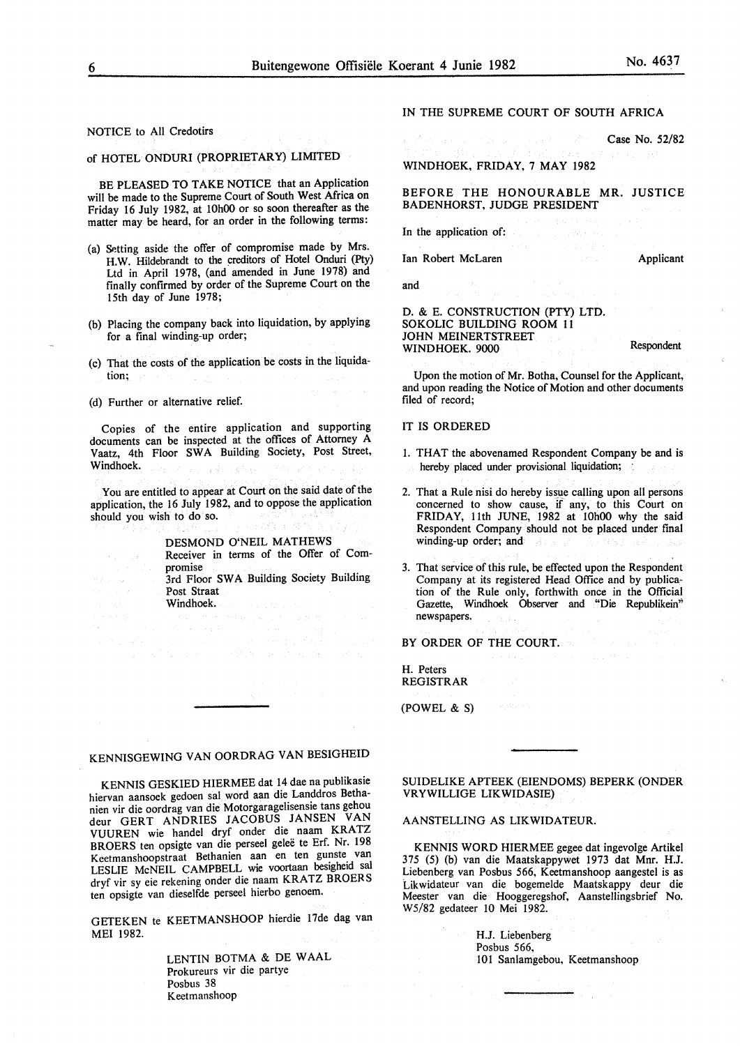NOTICE to All Credotirs

## of HOTEL ONDURI (PROPRIETARY) LIMITED

BE PLEASED TO TAKE NOTICE that an Application will be made to the Supreme Court of South West Africa on Friday 16 July 1982, at IOhOO or so soon thereafter as the matter may be heard, for an order in the following terms:

- (a) Setting aside the offer of compromise made by Mrs. H.W. Hildebrandt to the creditors of Hotel Onduri (Pty) Ltd in April 1978, (and amended in June 1978) and finally confirmed by order of the Supreme Court on the 15th day of June 1978;
- (b) Placing the company back into liquidation, by applying for a final winding-up order;
- (c) That the costs of the application be costs in the liquidation;
- (d) Further or alternative relief.

Copies of the entire application and supporting documents can be inspected at the offices of Attorney A Vaatz, 4th Floor SWA Building Society, Post Street, Windhoek.

You are entitled to appear at Court on the said date of the application, the 16 July 1982, and to oppose the application should you wish to do so.

#### DESMOND O'NEIL MATHEWS

Receiver in terms of the Offer of Compromise

3rd Floor SWA Building Society Building Post Straat Windhoek.

# KENNISGEWING VAN OORDRAG VAN BESIGHEID

KENNIS GESKIED HIERMEE dat 14 dae na publikasie hiervan aansoek gedoen sal word aan die Landdros Bethanien vir die oordrag van die Motorgaragelisensie tans gehou deur GERT ANDRIES JACOBUS JANSEN VAN VUUREN wie handel dryf onder die naam KRATZ BROERS ten opsigte van die perseel gelee te Erf. Nr. 198 Keetmanshoopstraat Bethanien aan en ten gunste van LESLIE McNEIL CAMPBELL wie voortaan besigheid sal dryf vir sy eie rekening onder die naam KRATZ BROERS ten opsigte van dieselfde perseel hierbo genoem.

GETEKEN te KEETMANSHOOP hierdie 17de dag van MEl 1982.

> LENTIN BOTMA & DE WAAL Prokureurs vir die partye Posbus 38 Keetmanshoop

IN THE SUPREME COURT OF SOUTH AFRICA

Case No. 52/82

# WINDHOEK, FRIDAY, 7 MAY 1982

#### BEFORE THE HONOURABLE MR. JUSTICE BADENHORST, JUDGE PRESIDENT

In the application of:

Ian Robert McLaren

and

Applicant

Respondent

#### D. & E. CONSTRUCTION (PTY) LTD. SOKOLIC BUILDING ROOM 11 JOHN MEINERTSTREET WINDHOEK. 9000

Upon the motion of Mr. Botha, Counsel for the Applicant, and upon reading the Notice of Motion and other documents filed of record;

#### IT IS ORDERED

- I. THAT the abovenamed Respondent Company be and is hereby placed under provisional liquidation;  $\therefore$
- 2. That a Rule nisi do hereby issue calling upon all persons concerned to show cause, if any, to this Court on FRIDAY, 11th JUNE, 1982 at IOhOO why the said Respondent Company should not be placed under final winding-up order; and
- 3. That service of this rule, be effected upon the Respondent Company at its registered Head Office and by publication of the Rule only, forthwith once in the Official Gazette, Windhoek Observer and "Die Republikein" newspapers.

BY ORDER OF THE COURT.

H. Peters REGISTRAR

(POWEL & S)

#### SUIDELIKE APTEEK (EIENDOMS) BEPERK (ONDER VRYWILLIGE LIKWIDASIE)

### AANSTELLING AS LIKWIDATEUR.

KENNIS WORD HIERMEE gegee dat ingevolge Artikel 375 (5) (b) van die Maatskappywet 1973 dat Mnr. H.J. Liebenberg van Posbus 566, Keetmanshoop aangestel is as Likwidateur van die bogemelde Maatskappy deur die Meester van die Hooggeregshof, Aanstellingsbrief No. W5/82 gedateer 10 Mei 1982.

> H.J. Liebenberg Posbus 566, 101 Sanlamgebou, Keetmanshoop